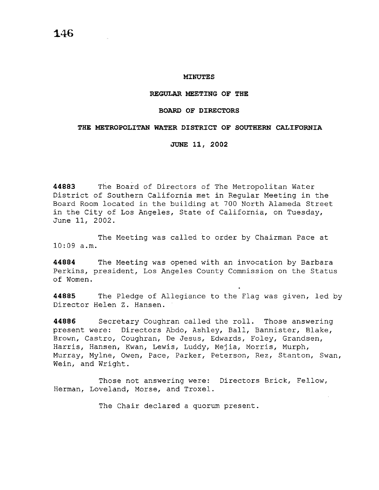#### **MINUTES**

#### **REGULAR MEETING OF THE**

### **BOARD OF DIRECTORS**

#### **THE METROPOLITAN WATER DISTRICT OF SOUTHERN CALIFORNIA**

#### **JUNE 11, 2002**

**44883** The Board of Directors of The Metropolitan Water District of Southern California met in Regular Meeting in the Board Room located in the building at 700 North Alameda Street in the City of Los Angeles, State of California, on Tuesday, June 11, 2002.

The Meeting was called to order by Chairman Pace at 10:09 a.m.

**44884** The Meeting was opened with an invocation by Barbara Perkins, president, Los Angeles County Commission on the Status of Women.

**44885** The Pledge of Allegiance to the Flag was given, led by Director Helen Z. Hansen.

**44886** Secretary Coughran called the roll. Those answering present were: Directors Abdo, Ashley, Ball, Bannister, Blake, Brown, Castro, Coughran, De Jesus, Edwards, Foley, Grandsen, Harris, Hansen, Kwan, Lewis, Luddy, Mejia, Morris, Murph, Murray, Mylne, Owen, Pace, Parker, Peterson, Rez, Stanton, Swan, Wein, and Wright.

Those not answering were: Directors Brick, Fellow, Herman, Loveland, Morse, and Troxel.

The Chair declared a quorum present.

**146**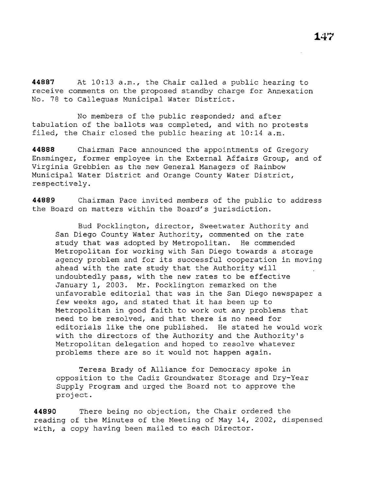**44887** At 10:13 a.m., the Chair called a public hearing to receive comments on the proposed standby charge for Annexation No. 78 to Calleguas Municipal Water District.

No members of the public responded; and after tabulation of the ballots was completed, and with no protests filed, the Chair closed the public hearing at 10:14 a.m.

**44888** Chairman Pace announced the appointments of Gregory Ensminger, former employee in the External Affairs Group, and of Virginia Grebbien as the new General Managers of Rainbow Municipal Water District and Orange County Water District, respectively.

**44889** Chairman Pace invited members of the public to address the Board on matters within the Board's jurisdiction.

Bud Pocklington, director, Sweetwater Authority and San Diego County Water Authority, commented on the rate study that was adopted by Metropolitan. He commended Metropolitan for working with San Diego towards a storage agency problem and for its successful cooperation in moving ahead with the rate study that the Authority will undoubtedly pass, with the new rates to be effective January 1, 2003. Mr. Pocklington remarked on the unfavorable editorial that was in the San Diego newspaper a few weeks ago, and stated that it has been up to Metropolitan in good faith to work out any problems that need to be resolved, and that there is no need for editorials like the one published. He stated he would work with the directors of the Authority and the Authority's Metropolitan delegation and hoped to resolve whatever problems there are so it would not happen again.

Teresa Brady of Alliance for Democracy spoke in opposition to the Cadiz Groundwater Storage and Dry-Year Supply Program and urged the Board not to approve the project.

**44890** There being no objection, the Chair ordered the reading of the Minutes of the Meeting of May 14, 2002, dispensed with, a copy having been mailed to each Director.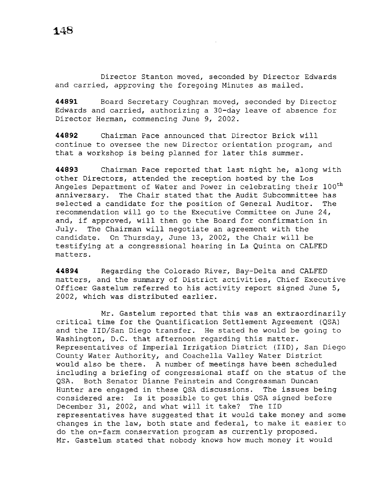Director Stanton moved, seconded by Director Edwards and carried, approving the foregoing Minutes as mailed.

**44891** Board Secretary Coughran moved, seconded by Director Edwards and carried, authorizing a 30-day leave of absence for Director Herman, commencing June 9, 2002.

**44892** Chairman Pace announced that Director Brick will continue to oversee the new Director orientation program, and that a workshop is being planned for later this summer.

**44893** Chairman Pace reported that last night he, along with other Directors, attended the reception hosted by the Los Angeles Department of Water and Power in celebrating their 100<sup>th</sup> anniversary. The Chair stated that the Audit Subcommittee has selected a candidate for the position of General Auditor. The recommendation will go to the Executive Committee on June 24, and, if approved, will then go the Board for confirmation in July. The Chairman will negotiate an agreement with the candidate. On Thursday, June 13, 2002, the Chair will be testifying at a congressional hearing in La Quinta on CALFED matters.

**44894** Regarding the Colorado River, Bay-Delta and CALFED matters, and the summary of District activities, Chief Executive Officer Gastelum referred to his activity report signed June 5, 2002, which was distributed earlier.

Mr. Gastelum reported that this was an extraordinarily critical time for the Quantification Settlement Agreement (QSA) and the IID/San Diego transfer. He stated he would be going to Washington, D.C. that afternoon regarding this matter. Representatives of Imperial Irrigation District (IID), San Diego County Water Authority, and Coachella Valley Water District would also be there. A number of meetings have been scheduled including a briefing of congressional staff on the status of the QSA. Both Senator Dianne Feinstein and Congressman Duncan Hunter are engaged in these QSA discussions. The issues being considered are: Is it possible to get this QSA signed before December 31, 2002, and what will it take? The IID representatives have suggested that it would take money and some changes in the law, both state and federal, to make it easier to do the on-farm conservation program as currently proposed. Mr. Gastelum stated that nobody knows how much money it would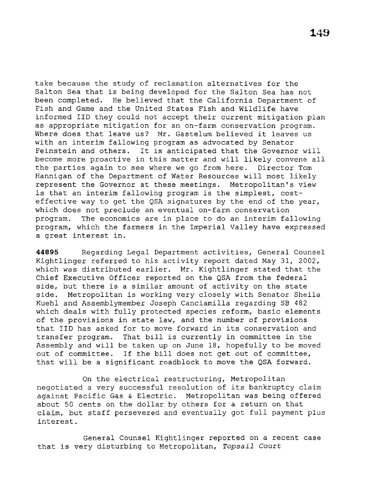take because the study of reclamation alternatives for the Salton Sea that is being developed for the Salton Sea has not been completed. He believed that the California Department of Fish and Game and the United States Fish and Wildlife have informed IID they could not accept their current mitigation plan as appropriate mitigation for an on-farm conservation program. Where does that leave us? Mr. Gastelum believed it leaves us with an interim fallowing program as advocated by Senator Feinstein and others. It is anticipated that the Governor will become more proactive in this matter and will likely convene all the parties again to see where we go from here. Director Tom Hannigan of the Department of Water Resources will most likely represent the Governor at these meetings. Metropolitan's view is that an interim fallowing program is the simplest, costeffective way to get the QSA signatures by the end of the year, which does not preclude an eventual on-farm conservation program. The economics are in place to do an interim fallowing program, which the farmers in the Imperial Valley have expressed a great interest in.

**44895** Regarding Legal Department activities, General Counsel Kightlinger referred to his activity report dated May 31, 2002, which was distributed earlier. Mr. Kightlinger stated that the Chief Executive Officer reported on the QSA from the federal side, but there is a similar amount of activity on the state side. Metropolitan *is* working very closely with Senator Sheila Kuehl and Assemblyrnember Joseph Canciamilla regarding SB 482 which deals with fully protected species reform, basic elements of the provisions in state law, and the number of provisions that IID has asked for to move forward in its conservation and transfer program. That bill is currently in committee in the Assembly and will be taken up on June 18, hopefully to be moved out of committee. If the bill does not get out of committee, that will be a significant roadblock to move the QSA forward.

On the electrical restructuring, Metropolitan negotiated a very successful resolution of its bankruptcy claim against Pacific Gas & Electric. Metropolitan was being offered about 50 cents on the dollar by others for a return on that claim, but staff persevered and eventually got full payment plus interest.

General Counsel Kightlinger reported on a recent case that is very disturbing to Metropolitan, *Topsail Court*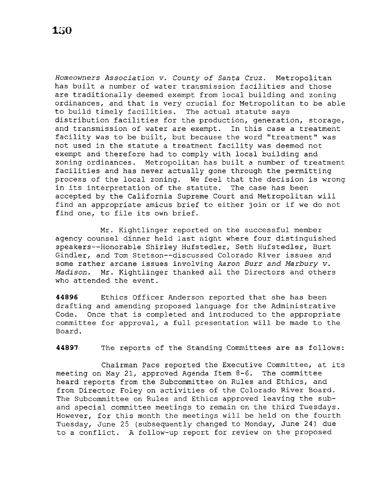*Homeowners Association v. County of Santa Cruz.* Metropolitan has built a number of water transmission facilities and those are traditionally deemed exempt from local building and zoning ordinances, and that is very crucial for Metropolitan to be able to build timely facilities. The actual statute says distribution facilities for the production, generation, storage, and transmission of water are exempt. In this case a treatment facility was to be built, but because the word ''treatment'' was not used in the statute a treatment facility was deemed not exempt and therefore had to comply with local building and zoning ordinances. Metropolitan has built a number of treatment facilities and has never actually gone through the permitting process of the local zoning. We feel that the decision is wrong in its interpretation of the statute. The case has been accepted by the California Supreme Court and Metropolitan will find an appropriate amicus brief to either join or if we do not find one, to file its own brief.

Mr. Kightlinger reported on the successful member agency counsel dinner held last night where four distinguished speakers--Honorable Shirley Hufstedler, Seth Hufstedler, Burt Gindler, and Tom Stetson--discussed Colorado River issues and some rather arcane issues involving *Aaron Burr and Marbury v. Madison.* Mr. Kightlinger thanked all the Directors and others who attended the event.

**44896** Ethics Officer Anderson reported that she has been drafting and amending proposed language for the Administrative Code. Once that is completed and introduced to the appropriate committee for approval, a full presentation will be made to the Board.

**44897** The reports of the Standing Committees are as follows:

Chairman Pace reported the Executive Committee, at its meeting on May 21, approved Agenda Item 8-6. The committee heard reports from the Subcommittee on Rules and Ethics, and from Director Foley on activities of the Colorado River Board. The Subcommittee on Rules and Ethics approved leaving the suband special committee meetings to remain on the third Tuesdays. However, for this month the meetings will be held on the fourth Tuesday, June 25 (subsequently changed to Monday, June 24) due to a conflict. A follow-up report for review on the proposed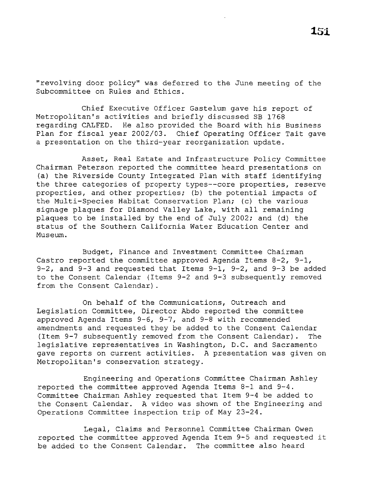''revolving door policy" was deferred to the June meeting of the Subcommittee on Rules and Ethics.

Chief Executive Officer Gastelum gave his report of Metropolitan's activities and briefly discussed SB 1768 regarding CALFED. He also provided the Board with his Business Plan for fiscal year 2002/03. Chief Operating Officer Tait gave a presentation on the third-year reorganization update.

Asset, Real Estate and Infrastructure Policy Committee Chairman Peterson reported the committee heard presentations on (a) the Riverside County Integrated Plan with staff identifying the three categories of property types--core properties, reserve properties, and other properties; (b) the potential impacts of the Multi-Species Habitat Conservation Plan; (c) the various signage plaques for Diamond Valley Lake, with all remaining plaques to be installed by the end of July 2002; and (d) the status of the Southern California Water Education Center and Museum.

Budget, Finance and Investment Committee Chairman Castro reported the committee approved Agenda Items 8-2, 9-1, 9-2, and 9-3 and requested that Items 9-1, 9-2, and 9-3 be added to the Consent Calendar (Items 9-2 and 9-3 subsequently removed from the Consent Calendar) .

On behalf of the Communications, Outreach and Legislation Committee, Director Abdo reported the committee approved Agenda Items 9-6, 9-7, and 9-8 with recommended amendments and requested they be added to the Consent Calendar (Item 9-7 subsequently removed from the Consent Calendar). The legislative representatives in Washington, D.C. and Sacramento gave reports on current activities. A presentation was given on Metropolitan's conservation strategy.

Engineering and Operations Committee Chairman Ashley reported the committee approved Agenda Items 8-1 and 9-4. Committee Chairman Ashley requested that Item 9-4 be added to the Consent Calendar. A video was shown of the Engineering and Operations Committee inspection trip of May 23-24.

Legal, Claims and Personnel Committee Chairman Owen reported the committee approved Agenda Item 9-5 and requested it be added to the Consent Calendar. The committee also heard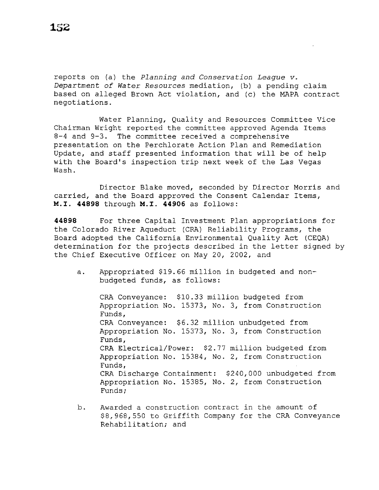reports on (a) the *Planning and Conservation League v. Department of Water Resources* mediation, (b) a pending claim based on alleged Brown Act violation, and (c) the MAPA contract negotiations.

Water Planning, Quality and Resources Committee Vice Chairman Wright reported the committee approved Agenda Items 8-4 and 9-3. The committee received a comprehensive presentation on the Perchlorate Action Plan and Remediation Update, and staff presented information that will be of help with the Board's inspection trip next week of the Las Vegas Wash.

Director Blake moved, seconded by Director Morris and carried, and the Board approved the Consent Calendar Items, M.I. **44B9B** through M.I. **44906** as follows:

**44B9B** For three Capital Investment Plan appropriations for the Colorado River Aqueduct (CRA) Reliability Programs, the Board adopted the California Environmental Quality Act (CEQA) determination for the projects described in the letter signed by the Chief Executive Officer on May 20, 2002, and

a. Appropriated \$19.66 million in budgeted and nonbudgeted funds, as follows:

CRA Conveyance: \$10.33 million budgeted from Appropriation No. 15373, No. 3, from Construction Funds, CRA Conveyance: \$6.32 million unbudgeted from Appropriation No. 15373, No. 3, from Construction Funds, CRA Electrical/Power: \$2.77 million budgeted from Appropriation No. 15384, No. 2, from Construction Funds, CRA Discharge Containment: \$240,000 unbudgeted from Appropriation No. 15385, No. 2, from Construction Funds;

b. Awarded a construction contract in the amount of \$8,968,550 to Griffith Company for the CRA Conveyance Rehabilitation; and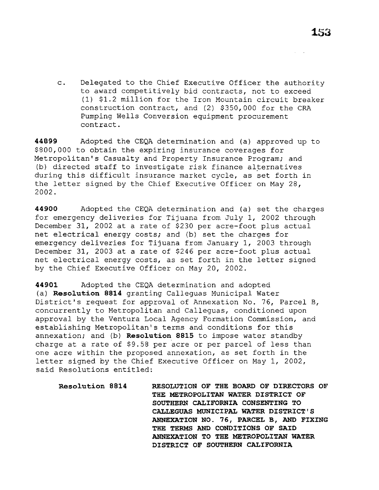c. Delegated to the Chief Executive Officer the authority to award competitively bid contracts, not to exceed (l) \$1.2 million for the Iron Mountain circuit breaker construction contract, and (2) \$350,000 for the CRA Pumping Wells Conversion equipment procurement contract.

**44899** Adopted the CEQA determination and (a) approved up to \$800,000 to obtain the expiring insurance coverages for Metropolitan's Casualty and Property Insurance Program; and (b) directed staff to investigate risk finance alternatives during this difficult insurance market cycle, as set forth in the letter signed by the Chief Executive Officer on May 28, 2002.

**44900** Adopted the CEQA determination and (a) set the charges for emergency deliveries for Tijuana from July 1, 2002 through December 31, 2002 at a rate of \$230 per acre-foot plus actual net electrical energy costs; and (b) set the charges for emergency deliveries for Tijuana from January 1, 2003 through December 31, 2003 at a rate of \$246 per acre-foot plus actual net electrical energy costs, as set forth in the letter signed by the Chief Executive Officer on May 20, 2002.

**44901** Adopted the CEQA determination and adopted (a) **Resolution 8814** granting Calleguas Municipal Water District's request for approval of Annexation No. 76, Parcel B, concurrently to Metropolitan and Calleguas, conditioned upon approval by the Ventura Local Agency Formation Commission, and establishing Metropolitan's terms and conditions for this annexation; and (b) **Resolution 8815** to impose water standby charge at a rate of \$9.58 per acre or per parcel of less than one acre within the proposed annexation, as set forth in the letter signed by the Chief Executive Officer on May 1, 2002, said Resolutions entitled:

**Resolution 8814 RESOLUTION OF THE BOARD OF DIRECTORS OF THE METROPOLITAN WATER DISTRICT OF SOUTHERN CALIFORNIA CONSENTING TO CALLEGUAS MUNICIPAL WATER DISTRICT'S ANNEXATION NO. 76, PARCEL B, AND FIXING THE TERMS AND CONDITIONS OF SAID ANNEXATION TO THE METROPOLITAN WATER DISTRICT OF SOUTHERN CALIFORNIA**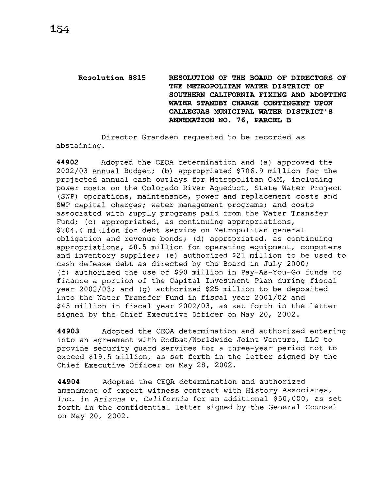# **Resolution 8815 RESOLUTION OF THE BOARD OF DIRECTORS OF THE METROPOLITAN WATER DISTRICT OF SOUTHERN CALIFORNIA FIXING AND ADOPTING WATER STANDBY CHARGE CONTINGENT UPON CALLEGUAS MUNICIPAL WATER DISTRICT'S ANNEXATION NO. 76, PARCEL B**

Director Grandsen requested to be recorded as abstaining.

**44902** Adopted the CEQA determination and (a) approved the 2002/03 Annual Budget; (b) appropriated \$706.9 million for the projected annual cash outlays for Metropolitan O&M, including power costs on the Colorado River Aqueduct, State Water Project (SWP) operations, maintenance, power and replacement costs and SWP capital charges; water management programs; and costs associated with supply programs paid from the Water Transfer Fund; (c) appropriated, as continuing appropriations, \$204.4 million for debt service on Metropolitan general obligation and revenue bonds; (d) appropriated, as continuing appropriations, \$8.5 million for operating equipment, computers and inventory supplies; (e) authorized \$21 million to be used to cash defease debt as directed by the Board in July 2000; (f) authorized the use of \$90 million in Pay-As-You-Go funds to finance a portion of the Capital Investment Plan during fiscal year 2002/03; and (g) authorized \$25 million to be deposited into the Water Transfer Fund in fiscal year 2001/02 and \$45 million in fiscal year 2002/03, as set forth in the letter signed by the Chief Executive Officer on May 20, 2002.

**44903** Adopted the CEQA determination and authorized entering into an agreement with Rodbat/Worldwide Joint Venture, LLC to provide security guard services for a three-year period not to exceed \$19.5 million, as set forth in the letter signed by the Chief Executive Officer on May 28, 2002.

**44904** Adopted the CEQA determination and authorized amendment of expert witness contract with History Associates, Inc. in *Arizona* v. *California* for an additional \$50,000, as set forth in the confidential letter signed by the General Counsel on May 20, 2002.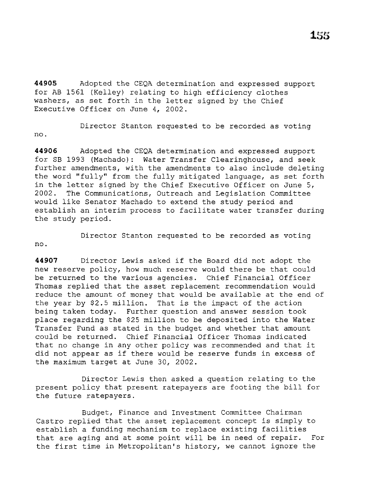**44905** Adopted the CEQA determination and expressed support for AB 1561 (Kelley) relating to high efficiency clothes washers, as set forth in the letter signed by the Chief Executive Officer on June 4, 2002.

Director Stanton requested to be recorded as voting no.

**44906** Adopted the CEQA determination and expressed support for SB 1993 (Machado) : Water Transfer Clearinghouse, and seek further amendments, with the amendments to also include deleting the word "fully" from the fully mitigated language, as set forth in the letter signed by the Chief Executive Officer on June 5, 2002. The Communications, Outreach and Legislation Committee would like Senator Machado to extend the study period and establish an interim process to facilitate water transfer during the study period.

no.

Director Stanton requested to be recorded as voting

**<sup>44907</sup>**Director Lewis asked if the Board did not adopt the new reserve policy, how much reserve would there be that could be returned to the various agencies. Chief Financial Officer Thomas replied that the asset replacement recommendation would reduce the amount of money that would be available at the end of the year by \$2.5 million. That is the impact of the action being taken today. Further question and answer session took place regarding the \$25 million to be deposited into the Water Transfer Fund as stated in the budget and whether that amount could be returned. Chief Financial Officer Thomas indicated that no change in any other policy was recommended and that it did not appear as if there would be reserve funds in excess of the maximum target at June 30, 2002.

Director Lewis then asked a question relating to the present policy that present ratepayers are footing the bill for the future ratepayers.

Budget, Finance and Investment Committee Chairman Castro replied that the asset replacement concept is simply to establish a funding mechanism to replace existing facilities that are aging and at some point will be in need of repair. For the first time in Metropolitan's history, we cannot ignore the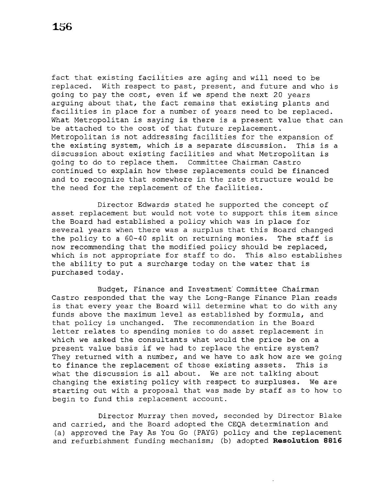fact that existing facilities are aging and will need to be replaced. With respect to past, present, and future and who is going to pay the cost, even if we spend the next 20 years arguing about that, the fact remains that existing plants and facilities in place for a number of years need to be replaced. What Metropolitan is saying is there is a present value that can be attached to the cost of that future replacement. Metropolitan is not addressing facilities for the expansion of the existing system, which is a separate discussion. This is a discussion about existing facilities and what Metropolitan is going to do to replace them. Committee Chairman Castro continued to explain how these replacements could be financed and to recognize that somewhere in the rate structure would be the need for the replacement of the facilities.

Director Edwards stated he supported the concept of asset replacement but would not vote to support this item since the Board had established a policy which was in place for several years when there was a surplus that this Board changed<br>the policy to a 60-40 split on returning monies. The staff is the policy to a 60-40 split on returning monies. now recommending that the modified policy should be replaced, which is not appropriate for staff to do. This also establishes the ability to put a surcharge today on the water that is purchased today.

Budget, Finance and Investment' Committee Chairman Castro responded that the way the Long-Range Finance Plan reads is that every year the Board will determine what to do with any funds above the maximum level as established by formula, and that policy is unchanged. The recommendation in the Board letter relates to spending monies to do asset replacement in which we asked the consultants what would the price be on a present value basis if we had to replace the entire system? They returned with a number, and we have to ask how are we going to finance the replacement of those existing assets. This is what the discussion is all about. We are not talking about changing the existing policy with respect to surpluses. We are starting out with a proposal that was made by staff as to how to begin to fund this replacement account.

Director Murray then moved, seconded by Director Blake and carried, and the Board adopted the CEQA determination and (a) approved the Pay As You Go (PAYG) policy and the replacement and refurbishment funding mechanism; (b) adopted **Resolution 8816**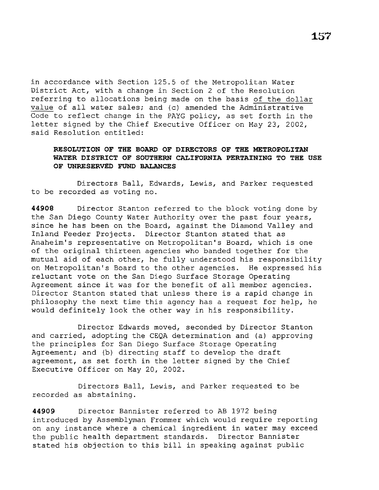in accordance with Section 125.5 of the Metropolitan Water District Act, with a change in Section 2 of the Resolution referring to allocations being made on the basis of the dollar value of all water sales; and (c) amended the Administrative Code to reflect change in the PAYG policy, as set forth in the letter signed by the Chief Executive Officer on May 23, 2002, said Resolution entitled:

## **RESOLUTION OF THE BOARD OF DIRECTORS OF THE METROPOLITAN WATER DISTRICT OF SOUTHERN CALIFORNIA PERTAINING TO THE USE OF UNRESERVED FUND BALANCES**

Directors Ball, Edwards, Lewis, and Parker requested to be recorded as voting no.

**44908** Director Stanton referred to the block voting done by the San Diego County Water Authority over the past four years, since he has been on the Board, against the Diamond Valley and Inland Feeder Projects. Director Stanton stated that as Anaheim's representative on Metropolitan's Board, which is one of the original thirteen agencies who banded together for the mutual aid of each other, he fully understood his responsibility on Metropolitan's Board to the other agencies. He expressed his reluctant vote on the San Diego Surface Storage Operating Agreement since it was for the benefit of all member agencies. Director Stanton stated that unless there is a rapid change in philosophy the next time this agency has a request for help, he would definitely look the other way in his responsibility.

Director Edwards moved, seconded by Director Stanton and carried, adopting the CEQA determination and (a) approving the principles for San Diego Surface Storage Operating Agreement; and (b) directing staff to develop the draft agreement, as set forth in the letter signed by the Chief Executive Officer on May 20, 2002.

Directors Ball, Lewis, and Parker requested to be recorded as abstaining.

**44909** Director Bannister referred to AB 1972 being introduced by Assemblyman Frommer which would require reporting on any instance where a chemical ingredient in water may exceed the public health department standards. Director Bannister stated his objection to this bill in speaking against public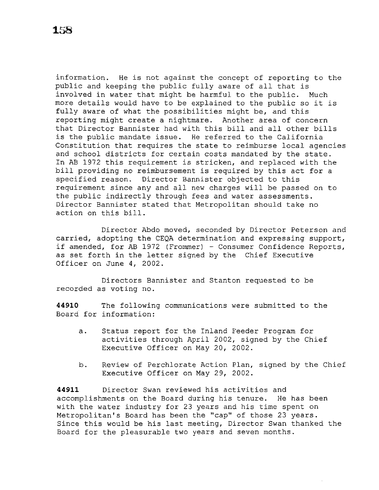information. He is not against the concept of reporting to the public and keeping the public fully aware of all that is involved in water that might be harmful to the public. Much more details would have to be explained to the public so it is fully aware of what the possibilities might be, and this reporting might create a nightmare. Another area of concern that Director Bannister had with this bill and all other bills is the public mandate issue. He referred to the California Constitution that requires the state to reimburse local agencies and school districts for certain costs mandated by the state. In AB 1972 this requirement is stricken, and replaced with the bill providing no reimbursement is required by this act for a specified reason. Director Bannister objected to this Director Bannister objected to this requirement since any and all new charges will be passed on to the public indirectly through fees and water assessments. Director Bannister stated that Metropolitan should take no action on this bill.

Director Abdo moved, seconded by Director Peterson and carried, adopting the CEQA determination and expressing support, if amended, for AB 1972 (Frommer) - Consumer Confidence Reports, as set forth in the letter signed by the Chief Executive Officer on June 4, 2002.

Directors Bannister and Stanton requested to be recorded as voting no.

**44910** The following communications were submitted to the Board for information:

- a. Status report for the Inland Feeder Program for activities through April 2002, signed by the Chief Executive Officer on May 20, 2002.
- b. Review of Perchlorate Action Plan, signed by the Chief Executive Officer on May 29, 2002.

**44911** Director Swan reviewed his activities and accomplishments on the Board during his tenure. He has been with the water industry for 23 years and his time spent on Metropolitan's Board has been the ''cap'' of those 23 years. Since this would be his last meeting, Director Swan thanked the Board for the pleasurable two years and seven months.